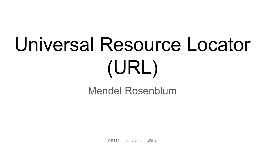# Universal Resource Locator (URL)

#### Mendel Rosenblum

CS142 Lecture Notes - URLs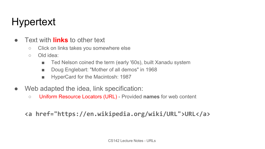# Hypertext

- Text with **links** to other text
	- Click on links takes you somewhere else
	- Old idea:
		- Ted Nelson coined the term (early '60s), built Xanadu system
		- Doug Englebart: "Mother of all demos" in 1968
		- HyperCard for the Macintosh: 1987
- Web adapted the idea, link specification:
	- Uniform Resource Locators (URL) Provided **names** for web content

**<a href="https://en.wikipedia.org/wiki/URL">URL</a>**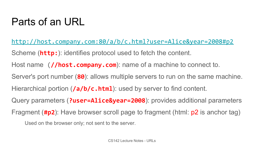#### Parts of an URL

[http://host.company.com:80/a/b/c.html?user=Alice&year=2008#p2](http://www.company.com:81/a/b/c.html?user=Alice&year=2008#p2) Scheme (**http:**): identifies protocol used to fetch the content. Host name (**//host.company.com**): name of a machine to connect to. Server's port number (**80**): allows multiple servers to run on the same machine. Hierarchical portion (**/a/b/c.html**): used by server to find content. Query parameters (**?user=Alice&year=2008**): provides additional parameters Fragment (**#p2**): Have browser scroll page to fragment (html: p2 is anchor tag) Used on the browser only; not sent to the server.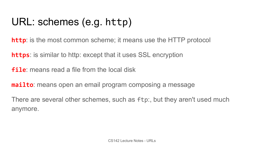# URL: schemes (e.g. http)

**http**: is the most common scheme; it means use the HTTP protocol

**https**: is similar to http: except that it uses SSL encryption

**file**: means read a file from the local disk

**mailto**: means open an email program composing a message

There are several other schemes, such as ftp:, but they aren't used much anymore.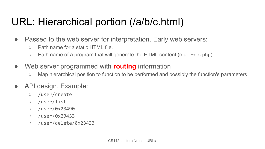### URL: Hierarchical portion (/a/b/c.html)

- Passed to the web server for interpretation. Early web servers:
	- Path name for a static HTML file.
	- Path name of a program that will generate the HTML content (e.g., foo.php).
- Web server programmed with **routing** information
	- Map hierarchical position to function to be performed and possibly the function's parameters
- API design, Example:
	- /user/create
	- /user/list
	- /user/0x23490
	- /user/0x23433
	- /user/delete/0x23433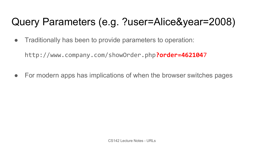# Query Parameters (e.g. ?user=Alice&year=2008)

• Traditionally has been to provide parameters to operation:

http://www.company.com/showOrder.php**?order=462104**7

• For modern apps has implications of when the browser switches pages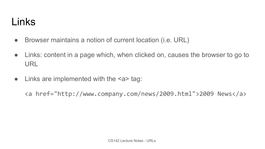#### Links

- Browser maintains a notion of current location (i.e. URL)
- Links: content in a page which, when clicked on, causes the browser to go to URL
- $\bullet$  Links are implemented with the  $\leq a$  tag:

<a href="http://www.company.com/news/2009.html">2009 News</a>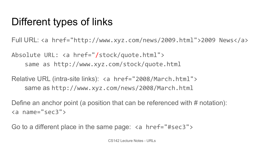### Different types of links

Full URL: <a href="http://www.xyz.com/news/2009.html">2009 News</a>

Absolute URL: <a href="/stock/quote.html"> same as http://www.xyz.com/stock/quote.html

Relative URL (intra-site links): <a href="2008/March.html"> same as http://www.xyz.com/news/2008/March.html

Define an anchor point (a position that can be referenced with # notation): <a name="sec3">

Go to a different place in the same page: <a href="#sec3">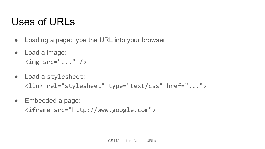#### Uses of URLs

- Loading a page: type the URL into your browser
- Load a image:  $\langle \text{img} \text{src} = " \dots " \rangle$
- Load a stylesheet: <link rel="stylesheet" type="text/css" href="...">
- Embedded a page:

<iframe src="http://www.google.com">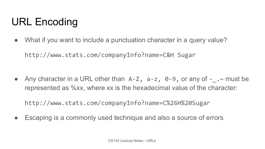# URL Encoding

• What if you want to include a punctuation character in a query value?

http://www.stats.com/companyInfo?name=C&H Sugar

• Any character in a URL other than  $A-Z$ ,  $a-z$ ,  $\theta - 9$ , or any of  $-$ .  $\sim$  must be represented as %xx, where xx is the hexadecimal value of the character:

http://www.stats.com/companyInfo?name=C%26H%20Sugar

• Escaping is a commonly used technique and also a source of errors